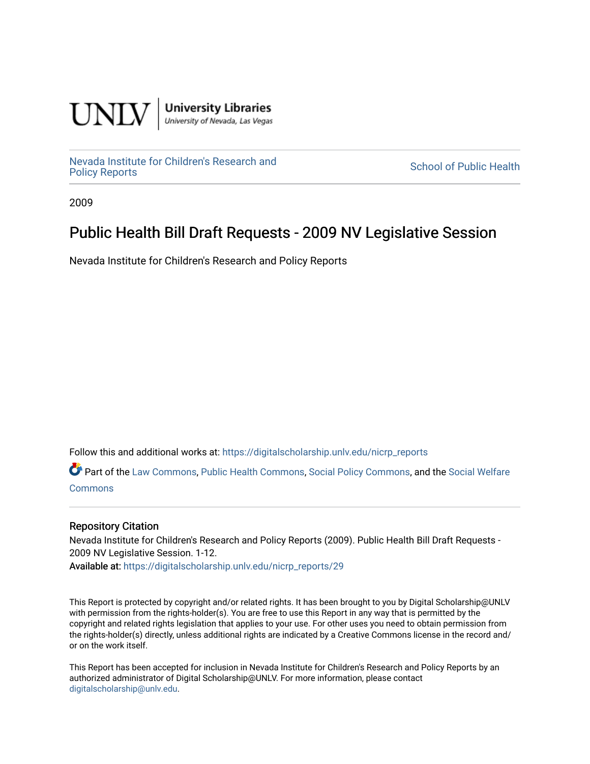

**University Libraries**<br>University of Nevada, Las Vegas

[Nevada Institute for Children's Research and](https://digitalscholarship.unlv.edu/nicrp_reports)

**School of Public Health** 

2009

## Public Health Bill Draft Requests - 2009 NV Legislative Session

Nevada Institute for Children's Research and Policy Reports

Follow this and additional works at: [https://digitalscholarship.unlv.edu/nicrp\\_reports](https://digitalscholarship.unlv.edu/nicrp_reports?utm_source=digitalscholarship.unlv.edu%2Fnicrp_reports%2F29&utm_medium=PDF&utm_campaign=PDFCoverPages)

Part of the [Law Commons](http://network.bepress.com/hgg/discipline/578?utm_source=digitalscholarship.unlv.edu%2Fnicrp_reports%2F29&utm_medium=PDF&utm_campaign=PDFCoverPages), [Public Health Commons](http://network.bepress.com/hgg/discipline/738?utm_source=digitalscholarship.unlv.edu%2Fnicrp_reports%2F29&utm_medium=PDF&utm_campaign=PDFCoverPages), [Social Policy Commons,](http://network.bepress.com/hgg/discipline/1030?utm_source=digitalscholarship.unlv.edu%2Fnicrp_reports%2F29&utm_medium=PDF&utm_campaign=PDFCoverPages) and the [Social Welfare](http://network.bepress.com/hgg/discipline/401?utm_source=digitalscholarship.unlv.edu%2Fnicrp_reports%2F29&utm_medium=PDF&utm_campaign=PDFCoverPages) **[Commons](http://network.bepress.com/hgg/discipline/401?utm_source=digitalscholarship.unlv.edu%2Fnicrp_reports%2F29&utm_medium=PDF&utm_campaign=PDFCoverPages)** 

## Repository Citation

Nevada Institute for Children's Research and Policy Reports (2009). Public Health Bill Draft Requests - 2009 NV Legislative Session. 1-12. Available at: [https://digitalscholarship.unlv.edu/nicrp\\_reports/29](https://digitalscholarship.unlv.edu/nicrp_reports/29) 

This Report is protected by copyright and/or related rights. It has been brought to you by Digital Scholarship@UNLV with permission from the rights-holder(s). You are free to use this Report in any way that is permitted by the copyright and related rights legislation that applies to your use. For other uses you need to obtain permission from the rights-holder(s) directly, unless additional rights are indicated by a Creative Commons license in the record and/ or on the work itself.

This Report has been accepted for inclusion in Nevada Institute for Children's Research and Policy Reports by an authorized administrator of Digital Scholarship@UNLV. For more information, please contact [digitalscholarship@unlv.edu](mailto:digitalscholarship@unlv.edu).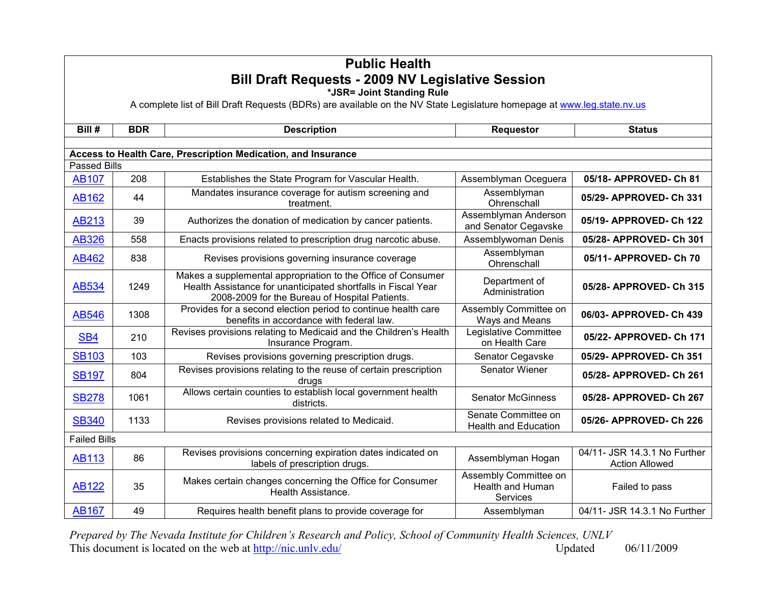| <b>Public Health</b><br><b>Bill Draft Requests - 2009 NV Legislative Session</b><br>*JSR= Joint Standing Rule<br>A complete list of Bill Draft Requests (BDRs) are available on the NV State Legislature homepage at www.leg.state.nv.us |                     |                                                                                                                                                                                 |                                                              |                                                       |  |  |  |
|------------------------------------------------------------------------------------------------------------------------------------------------------------------------------------------------------------------------------------------|---------------------|---------------------------------------------------------------------------------------------------------------------------------------------------------------------------------|--------------------------------------------------------------|-------------------------------------------------------|--|--|--|
| Bill #                                                                                                                                                                                                                                   | <b>BDR</b>          | <b>Description</b>                                                                                                                                                              | <b>Requestor</b>                                             | <b>Status</b>                                         |  |  |  |
|                                                                                                                                                                                                                                          |                     |                                                                                                                                                                                 |                                                              |                                                       |  |  |  |
| <b>Passed Bills</b>                                                                                                                                                                                                                      |                     | Access to Health Care, Prescription Medication, and Insurance                                                                                                                   |                                                              |                                                       |  |  |  |
| <b>AB107</b>                                                                                                                                                                                                                             | 208                 | Establishes the State Program for Vascular Health.                                                                                                                              | Assemblyman Oceguera                                         | 05/18- APPROVED- Ch 81                                |  |  |  |
| <b>AB162</b>                                                                                                                                                                                                                             | 44                  | Mandates insurance coverage for autism screening and<br>treatment.                                                                                                              | Assemblyman<br>Ohrenschall                                   | 05/29- APPROVED- Ch 331                               |  |  |  |
| AB213                                                                                                                                                                                                                                    | 39                  | Authorizes the donation of medication by cancer patients.                                                                                                                       | Assemblyman Anderson<br>and Senator Cegavske                 | 05/19- APPROVED- Ch 122                               |  |  |  |
| <b>AB326</b>                                                                                                                                                                                                                             | 558                 | Enacts provisions related to prescription drug narcotic abuse.                                                                                                                  | Assemblywoman Denis                                          | 05/28- APPROVED- Ch 301                               |  |  |  |
| <b>AB462</b>                                                                                                                                                                                                                             | 838                 | Revises provisions governing insurance coverage                                                                                                                                 | Assemblyman<br>Ohrenschall                                   | 05/11- APPROVED- Ch 70                                |  |  |  |
| AB534                                                                                                                                                                                                                                    | 1249                | Makes a supplemental appropriation to the Office of Consumer<br>Health Assistance for unanticipated shortfalls in Fiscal Year<br>2008-2009 for the Bureau of Hospital Patients. | Department of<br>Administration                              | 05/28- APPROVED- Ch 315                               |  |  |  |
| <b>AB546</b>                                                                                                                                                                                                                             | 1308                | Provides for a second election period to continue health care<br>benefits in accordance with federal law.                                                                       | Assembly Committee on<br>Ways and Means                      | 06/03- APPROVED- Ch 439                               |  |  |  |
| SB <sub>4</sub>                                                                                                                                                                                                                          | 210                 | Revises provisions relating to Medicaid and the Children's Health<br>Insurance Program.                                                                                         | Legislative Committee<br>on Health Care                      | 05/22- APPROVED- Ch 171                               |  |  |  |
| <b>SB103</b>                                                                                                                                                                                                                             | 103                 | Revises provisions governing prescription drugs.                                                                                                                                | Senator Cegavske                                             | 05/29- APPROVED- Ch 351                               |  |  |  |
| <b>SB197</b>                                                                                                                                                                                                                             | 804                 | Revises provisions relating to the reuse of certain prescription<br>drugs                                                                                                       | Senator Wiener                                               | 05/28- APPROVED- Ch 261                               |  |  |  |
| <b>SB278</b>                                                                                                                                                                                                                             | 1061                | Allows certain counties to establish local government health<br>districts.                                                                                                      | <b>Senator McGinness</b>                                     | 05/28- APPROVED- Ch 267                               |  |  |  |
| <b>SB340</b>                                                                                                                                                                                                                             | 1133                | Revises provisions related to Medicaid.                                                                                                                                         | Senate Committee on<br><b>Health and Education</b>           | 05/26- APPROVED- Ch 226                               |  |  |  |
|                                                                                                                                                                                                                                          | <b>Failed Bills</b> |                                                                                                                                                                                 |                                                              |                                                       |  |  |  |
| <b>AB113</b>                                                                                                                                                                                                                             | 86                  | Revises provisions concerning expiration dates indicated on<br>labels of prescription drugs.                                                                                    | Assemblyman Hogan                                            | 04/11- JSR 14.3.1 No Further<br><b>Action Allowed</b> |  |  |  |
| <b>AB122</b>                                                                                                                                                                                                                             | 35                  | Makes certain changes concerning the Office for Consumer<br>Health Assistance.                                                                                                  | Assembly Committee on<br><b>Health and Human</b><br>Services | Failed to pass                                        |  |  |  |
| <b>AB167</b>                                                                                                                                                                                                                             | 49                  | Requires health benefit plans to provide coverage for                                                                                                                           | Assemblyman                                                  | 04/11- JSR 14.3.1 No Further                          |  |  |  |

*Prepared by The Nevada Institute for [Children's Research](http://nic.unlv.edu/) and Policy, School of Community Health Sciences, UNLV*  This document is located on the web at  $\frac{http://nic.unlv.edu/}{http://nic.unlv.edu/}$  Updated 06/11/2009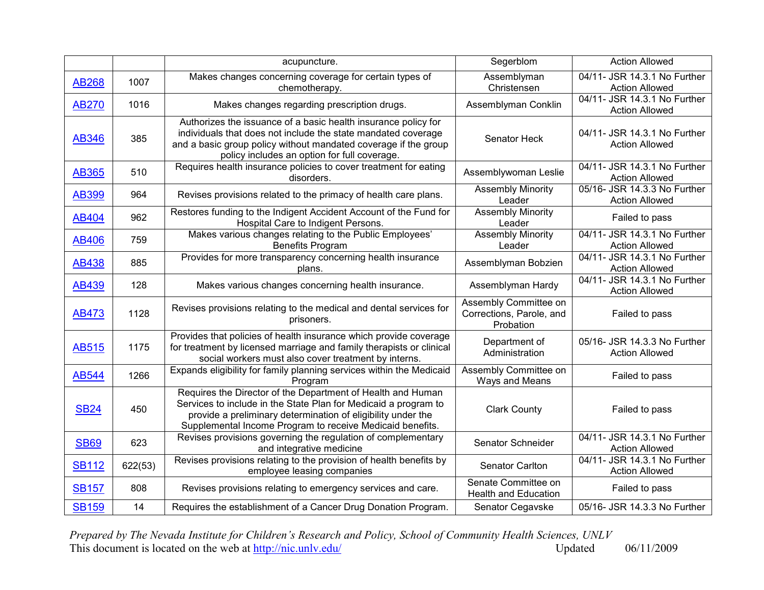|              |         | acupuncture.                                                                                                                                                                                                                                                | Segerblom                                                      | <b>Action Allowed</b>                                 |
|--------------|---------|-------------------------------------------------------------------------------------------------------------------------------------------------------------------------------------------------------------------------------------------------------------|----------------------------------------------------------------|-------------------------------------------------------|
| <b>AB268</b> | 1007    | Makes changes concerning coverage for certain types of<br>chemotherapy.                                                                                                                                                                                     | Assemblyman<br>Christensen                                     | 04/11- JSR 14.3.1 No Further<br><b>Action Allowed</b> |
| <b>AB270</b> | 1016    | Makes changes regarding prescription drugs.                                                                                                                                                                                                                 | Assemblyman Conklin                                            | 04/11- JSR 14.3.1 No Further<br><b>Action Allowed</b> |
| <b>AB346</b> | 385     | Authorizes the issuance of a basic health insurance policy for<br>individuals that does not include the state mandated coverage<br>and a basic group policy without mandated coverage if the group<br>policy includes an option for full coverage.          | Senator Heck                                                   | 04/11- JSR 14.3.1 No Further<br><b>Action Allowed</b> |
| <b>AB365</b> | 510     | Requires health insurance policies to cover treatment for eating<br>disorders.                                                                                                                                                                              | Assemblywoman Leslie                                           | 04/11- JSR 14.3.1 No Further<br><b>Action Allowed</b> |
| <b>AB399</b> | 964     | Revises provisions related to the primacy of health care plans.                                                                                                                                                                                             | <b>Assembly Minority</b><br>Leader                             | 05/16- JSR 14.3.3 No Further<br><b>Action Allowed</b> |
| <b>AB404</b> | 962     | Restores funding to the Indigent Accident Account of the Fund for<br>Hospital Care to Indigent Persons.                                                                                                                                                     | <b>Assembly Minority</b><br>Leader                             | Failed to pass                                        |
| <b>AB406</b> | 759     | Makes various changes relating to the Public Employees'<br><b>Benefits Program</b>                                                                                                                                                                          | <b>Assembly Minority</b><br>Leader                             | 04/11- JSR 14.3.1 No Further<br><b>Action Allowed</b> |
| <b>AB438</b> | 885     | Provides for more transparency concerning health insurance<br>plans.                                                                                                                                                                                        | Assemblyman Bobzien                                            | 04/11- JSR 14.3.1 No Further<br><b>Action Allowed</b> |
| <b>AB439</b> | 128     | Makes various changes concerning health insurance.                                                                                                                                                                                                          | Assemblyman Hardy                                              | 04/11- JSR 14.3.1 No Further<br><b>Action Allowed</b> |
| <b>AB473</b> | 1128    | Revises provisions relating to the medical and dental services for<br>prisoners.                                                                                                                                                                            | Assembly Committee on<br>Corrections, Parole, and<br>Probation | Failed to pass                                        |
| <b>AB515</b> | 1175    | Provides that policies of health insurance which provide coverage<br>for treatment by licensed marriage and family therapists or clinical<br>social workers must also cover treatment by interns.                                                           | Department of<br>Administration                                | 05/16- JSR 14.3.3 No Further<br><b>Action Allowed</b> |
| <b>AB544</b> | 1266    | Expands eligibility for family planning services within the Medicaid<br>Program                                                                                                                                                                             | Assembly Committee on<br>Ways and Means                        | Failed to pass                                        |
| <b>SB24</b>  | 450     | Requires the Director of the Department of Health and Human<br>Services to include in the State Plan for Medicaid a program to<br>provide a preliminary determination of eligibility under the<br>Supplemental Income Program to receive Medicaid benefits. | <b>Clark County</b>                                            | Failed to pass                                        |
| <b>SB69</b>  | 623     | Revises provisions governing the regulation of complementary<br>and integrative medicine                                                                                                                                                                    | Senator Schneider                                              | 04/11- JSR 14.3.1 No Further<br><b>Action Allowed</b> |
| <b>SB112</b> | 622(53) | Revises provisions relating to the provision of health benefits by<br>employee leasing companies                                                                                                                                                            | Senator Carlton                                                | 04/11- JSR 14.3.1 No Further<br><b>Action Allowed</b> |
| <b>SB157</b> | 808     | Revises provisions relating to emergency services and care.                                                                                                                                                                                                 | Senate Committee on<br><b>Health and Education</b>             | Failed to pass                                        |
| <b>SB159</b> | 14      | Requires the establishment of a Cancer Drug Donation Program.                                                                                                                                                                                               | Senator Cegavske                                               | 05/16- JSR 14.3.3 No Further                          |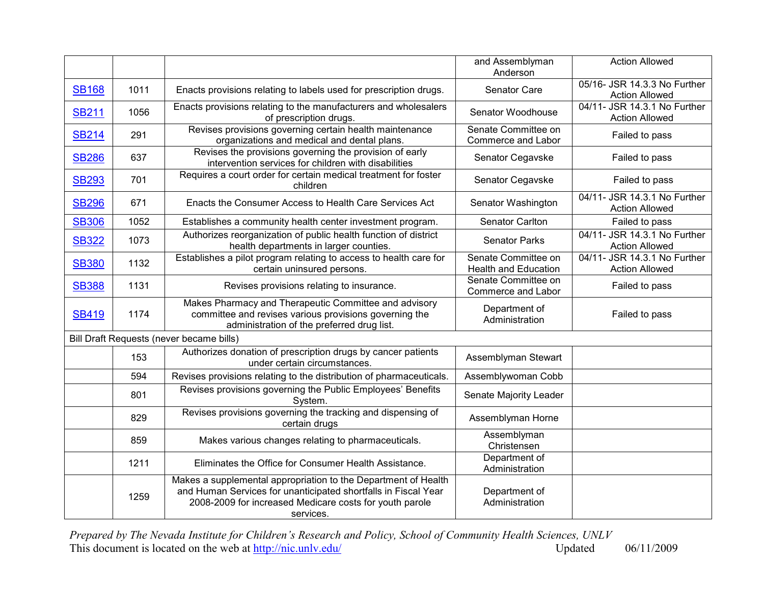|              |      |                                                                                                                                                                                                          | and Assemblyman<br>Anderson                        | <b>Action Allowed</b>                                 |
|--------------|------|----------------------------------------------------------------------------------------------------------------------------------------------------------------------------------------------------------|----------------------------------------------------|-------------------------------------------------------|
| <b>SB168</b> | 1011 | Enacts provisions relating to labels used for prescription drugs.                                                                                                                                        | Senator Care                                       | 05/16- JSR 14.3.3 No Further<br><b>Action Allowed</b> |
| <b>SB211</b> | 1056 | Enacts provisions relating to the manufacturers and wholesalers<br>of prescription drugs.                                                                                                                | Senator Woodhouse                                  | 04/11- JSR 14.3.1 No Further<br><b>Action Allowed</b> |
| <b>SB214</b> | 291  | Revises provisions governing certain health maintenance<br>organizations and medical and dental plans.                                                                                                   | Senate Committee on<br>Commerce and Labor          | Failed to pass                                        |
| <b>SB286</b> | 637  | Revises the provisions governing the provision of early<br>intervention services for children with disabilities                                                                                          | Senator Cegavske                                   | Failed to pass                                        |
| <b>SB293</b> | 701  | Requires a court order for certain medical treatment for foster<br>children                                                                                                                              | Senator Cegavske                                   | Failed to pass                                        |
| <b>SB296</b> | 671  | Enacts the Consumer Access to Health Care Services Act                                                                                                                                                   | Senator Washington                                 | 04/11- JSR 14.3.1 No Further<br><b>Action Allowed</b> |
| <b>SB306</b> | 1052 | Establishes a community health center investment program.                                                                                                                                                | Senator Carlton                                    | Failed to pass                                        |
| <b>SB322</b> | 1073 | Authorizes reorganization of public health function of district<br>health departments in larger counties.                                                                                                | <b>Senator Parks</b>                               | 04/11- JSR 14.3.1 No Further<br><b>Action Allowed</b> |
| <b>SB380</b> | 1132 | Establishes a pilot program relating to access to health care for<br>certain uninsured persons.                                                                                                          | Senate Committee on<br><b>Health and Education</b> | 04/11- JSR 14.3.1 No Further<br><b>Action Allowed</b> |
| <b>SB388</b> | 1131 | Revises provisions relating to insurance.                                                                                                                                                                | Senate Committee on<br>Commerce and Labor          | Failed to pass                                        |
| <b>SB419</b> | 1174 | Makes Pharmacy and Therapeutic Committee and advisory<br>committee and revises various provisions governing the<br>administration of the preferred drug list.                                            | Department of<br>Administration                    | Failed to pass                                        |
|              |      | Bill Draft Requests (never became bills)                                                                                                                                                                 |                                                    |                                                       |
|              | 153  | Authorizes donation of prescription drugs by cancer patients<br>under certain circumstances.                                                                                                             | Assemblyman Stewart                                |                                                       |
|              | 594  | Revises provisions relating to the distribution of pharmaceuticals.                                                                                                                                      | Assemblywoman Cobb                                 |                                                       |
|              | 801  | Revises provisions governing the Public Employees' Benefits<br>System.                                                                                                                                   | Senate Majority Leader                             |                                                       |
|              | 829  | Revises provisions governing the tracking and dispensing of<br>certain drugs                                                                                                                             | Assemblyman Horne                                  |                                                       |
|              | 859  | Makes various changes relating to pharmaceuticals.                                                                                                                                                       | Assemblyman<br>Christensen                         |                                                       |
|              | 1211 | Eliminates the Office for Consumer Health Assistance.                                                                                                                                                    | Department of<br>Administration                    |                                                       |
|              | 1259 | Makes a supplemental appropriation to the Department of Health<br>and Human Services for unanticipated shortfalls in Fiscal Year<br>2008-2009 for increased Medicare costs for youth parole<br>services. | Department of<br>Administration                    |                                                       |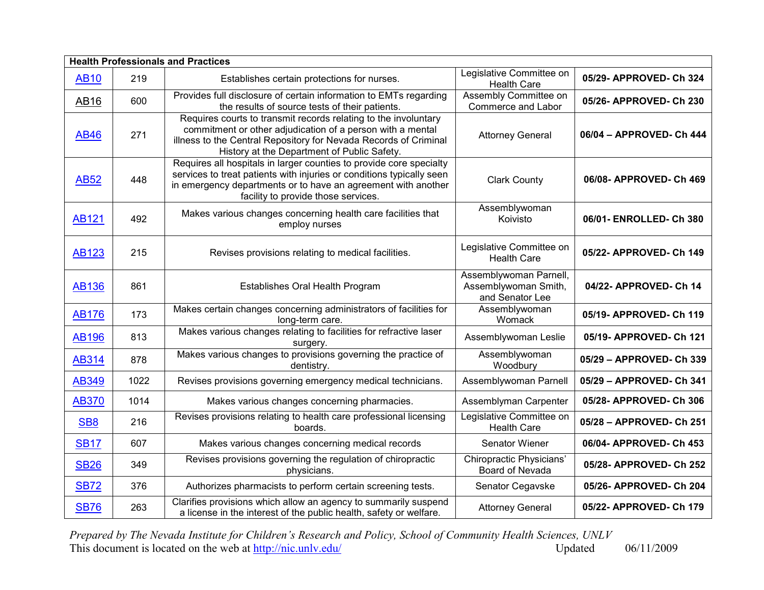|                 | <b>Health Professionals and Practices</b> |                                                                                                                                                                                                                                                      |                                                                   |                          |  |
|-----------------|-------------------------------------------|------------------------------------------------------------------------------------------------------------------------------------------------------------------------------------------------------------------------------------------------------|-------------------------------------------------------------------|--------------------------|--|
| <b>AB10</b>     | 219                                       | Establishes certain protections for nurses.                                                                                                                                                                                                          | Legislative Committee on<br><b>Health Care</b>                    | 05/29- APPROVED- Ch 324  |  |
| <b>AB16</b>     | 600                                       | Provides full disclosure of certain information to EMTs regarding<br>the results of source tests of their patients.                                                                                                                                  | Assembly Committee on<br>Commerce and Labor                       | 05/26- APPROVED- Ch 230  |  |
| <b>AB46</b>     | 271                                       | Requires courts to transmit records relating to the involuntary<br>commitment or other adjudication of a person with a mental<br>illness to the Central Repository for Nevada Records of Criminal<br>History at the Department of Public Safety.     | <b>Attorney General</b>                                           | 06/04 - APPROVED- Ch 444 |  |
| <b>AB52</b>     | 448                                       | Requires all hospitals in larger counties to provide core specialty<br>services to treat patients with injuries or conditions typically seen<br>in emergency departments or to have an agreement with another<br>facility to provide those services. | <b>Clark County</b>                                               | 06/08- APPROVED- Ch 469  |  |
| <b>AB121</b>    | 492                                       | Makes various changes concerning health care facilities that<br>employ nurses                                                                                                                                                                        | Assemblywoman<br>Koivisto                                         | 06/01- ENROLLED- Ch 380  |  |
| <b>AB123</b>    | 215                                       | Revises provisions relating to medical facilities.                                                                                                                                                                                                   | Legislative Committee on<br><b>Health Care</b>                    | 05/22- APPROVED- Ch 149  |  |
| <b>AB136</b>    | 861                                       | Establishes Oral Health Program                                                                                                                                                                                                                      | Assemblywoman Parnell,<br>Assemblywoman Smith,<br>and Senator Lee | 04/22- APPROVED- Ch 14   |  |
| <b>AB176</b>    | 173                                       | Makes certain changes concerning administrators of facilities for<br>long-term care.                                                                                                                                                                 | Assemblywoman<br>Womack                                           | 05/19- APPROVED- Ch 119  |  |
| <b>AB196</b>    | 813                                       | Makes various changes relating to facilities for refractive laser<br>surgery.                                                                                                                                                                        | Assemblywoman Leslie                                              | 05/19- APPROVED- Ch 121  |  |
| <b>AB314</b>    | 878                                       | Makes various changes to provisions governing the practice of<br>dentistry.                                                                                                                                                                          | Assemblywoman<br>Woodbury                                         | 05/29 - APPROVED- Ch 339 |  |
| <b>AB349</b>    | 1022                                      | Revises provisions governing emergency medical technicians.                                                                                                                                                                                          | Assemblywoman Parnell                                             | 05/29 - APPROVED- Ch 341 |  |
| <b>AB370</b>    | 1014                                      | Makes various changes concerning pharmacies.                                                                                                                                                                                                         | Assemblyman Carpenter                                             | 05/28- APPROVED- Ch 306  |  |
| SB <sub>8</sub> | 216                                       | Revises provisions relating to health care professional licensing<br>boards.                                                                                                                                                                         | Legislative Committee on<br><b>Health Care</b>                    | 05/28 - APPROVED- Ch 251 |  |
| <b>SB17</b>     | 607                                       | Makes various changes concerning medical records                                                                                                                                                                                                     | <b>Senator Wiener</b>                                             | 06/04- APPROVED- Ch 453  |  |
| <b>SB26</b>     | 349                                       | Revises provisions governing the regulation of chiropractic<br>physicians.                                                                                                                                                                           | <b>Chiropractic Physicians'</b><br>Board of Nevada                | 05/28- APPROVED- Ch 252  |  |
| <b>SB72</b>     | 376                                       | Authorizes pharmacists to perform certain screening tests.                                                                                                                                                                                           | Senator Cegavske                                                  | 05/26- APPROVED- Ch 204  |  |
| <b>SB76</b>     | 263                                       | Clarifies provisions which allow an agency to summarily suspend<br>a license in the interest of the public health, safety or welfare.                                                                                                                | <b>Attorney General</b>                                           | 05/22- APPROVED- Ch 179  |  |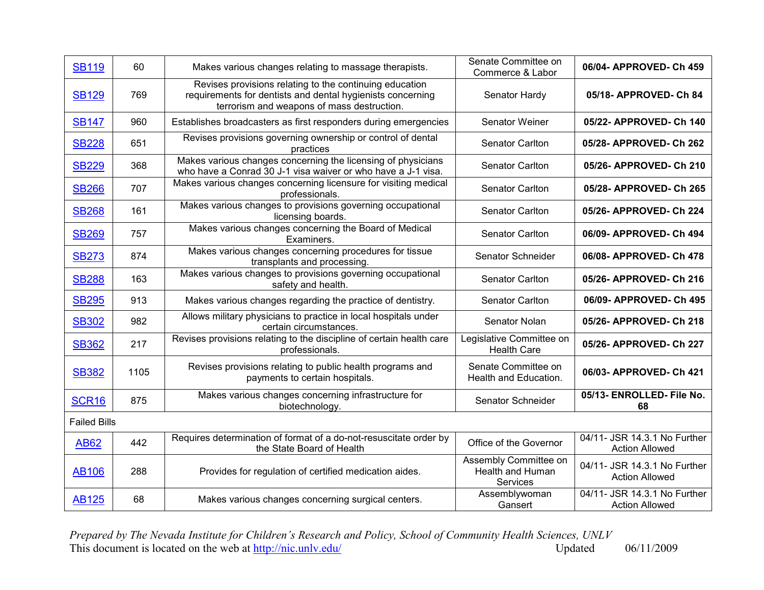| <b>SB119</b>        | 60   | Makes various changes relating to massage therapists.                                                                                                               | Senate Committee on<br>Commerce & Labor               | 06/04- APPROVED- Ch 459                               |
|---------------------|------|---------------------------------------------------------------------------------------------------------------------------------------------------------------------|-------------------------------------------------------|-------------------------------------------------------|
| <b>SB129</b>        | 769  | Revises provisions relating to the continuing education<br>requirements for dentists and dental hygienists concerning<br>terrorism and weapons of mass destruction. | Senator Hardy                                         | 05/18- APPROVED- Ch 84                                |
| <b>SB147</b>        | 960  | Establishes broadcasters as first responders during emergencies                                                                                                     | Senator Weiner                                        | 05/22- APPROVED- Ch 140                               |
| <b>SB228</b>        | 651  | Revises provisions governing ownership or control of dental<br>practices                                                                                            | Senator Carlton                                       | 05/28- APPROVED- Ch 262                               |
| <b>SB229</b>        | 368  | Makes various changes concerning the licensing of physicians<br>who have a Conrad 30 J-1 visa waiver or who have a J-1 visa.                                        | Senator Carlton                                       | 05/26- APPROVED- Ch 210                               |
| <b>SB266</b>        | 707  | Makes various changes concerning licensure for visiting medical<br>professionals.                                                                                   | Senator Carlton                                       | 05/28- APPROVED- Ch 265                               |
| <b>SB268</b>        | 161  | Makes various changes to provisions governing occupational<br>licensing boards.                                                                                     | <b>Senator Carlton</b>                                | 05/26- APPROVED- Ch 224                               |
| <b>SB269</b>        | 757  | Makes various changes concerning the Board of Medical<br>Examiners.                                                                                                 | Senator Carlton                                       | 06/09- APPROVED- Ch 494                               |
| <b>SB273</b>        | 874  | Makes various changes concerning procedures for tissue<br>transplants and processing.                                                                               | Senator Schneider                                     | 06/08- APPROVED- Ch 478                               |
| <b>SB288</b>        | 163  | Makes various changes to provisions governing occupational<br>safety and health.                                                                                    | Senator Carlton                                       | 05/26- APPROVED- Ch 216                               |
| <b>SB295</b>        | 913  | Makes various changes regarding the practice of dentistry.                                                                                                          | Senator Carlton                                       | 06/09- APPROVED- Ch 495                               |
| <b>SB302</b>        | 982  | Allows military physicians to practice in local hospitals under<br>certain circumstances.                                                                           | Senator Nolan                                         | 05/26- APPROVED- Ch 218                               |
| <b>SB362</b>        | 217  | Revises provisions relating to the discipline of certain health care<br>professionals.                                                                              | Legislative Committee on<br><b>Health Care</b>        | 05/26- APPROVED- Ch 227                               |
| <b>SB382</b>        | 1105 | Revises provisions relating to public health programs and<br>payments to certain hospitals.                                                                         | Senate Committee on<br>Health and Education.          | 06/03- APPROVED- Ch 421                               |
| <b>SCR16</b>        | 875  | Makes various changes concerning infrastructure for<br>biotechnology.                                                                                               | Senator Schneider                                     | 05/13- ENROLLED- File No.<br>68                       |
| <b>Failed Bills</b> |      |                                                                                                                                                                     |                                                       |                                                       |
| <b>AB62</b>         | 442  | Requires determination of format of a do-not-resuscitate order by<br>the State Board of Health                                                                      | Office of the Governor                                | 04/11- JSR 14.3.1 No Further<br><b>Action Allowed</b> |
| <b>AB106</b>        | 288  | Provides for regulation of certified medication aides.                                                                                                              | Assembly Committee on<br>Health and Human<br>Services | 04/11- JSR 14.3.1 No Further<br><b>Action Allowed</b> |
| <b>AB125</b>        | 68   | Makes various changes concerning surgical centers.                                                                                                                  | Assemblywoman<br>Gansert                              | 04/11- JSR 14.3.1 No Further<br><b>Action Allowed</b> |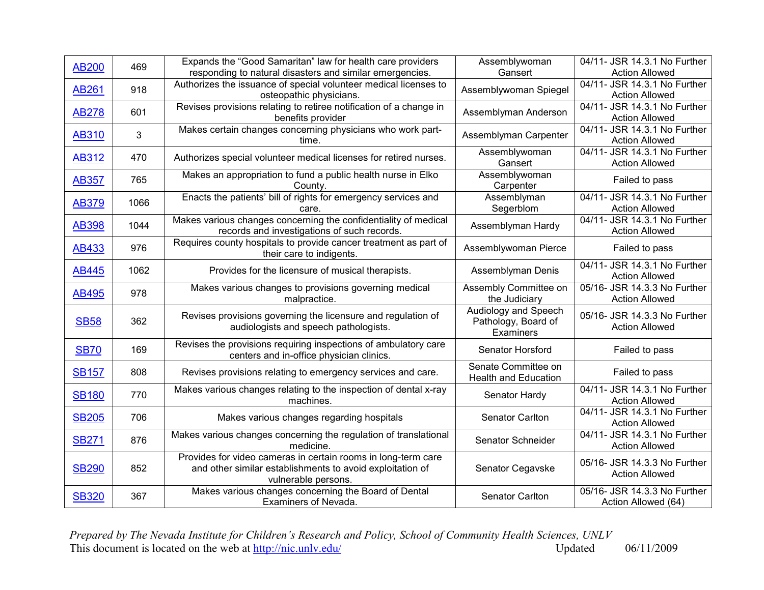| <b>AB200</b> | 469          | Expands the "Good Samaritan" law for health care providers                                                                                        | Assemblywoman                                            | 04/11- JSR 14.3.1 No Further                          |
|--------------|--------------|---------------------------------------------------------------------------------------------------------------------------------------------------|----------------------------------------------------------|-------------------------------------------------------|
|              |              | responding to natural disasters and similar emergencies.                                                                                          | Gansert                                                  | <b>Action Allowed</b>                                 |
| <b>AB261</b> | 918          | Authorizes the issuance of special volunteer medical licenses to<br>osteopathic physicians.                                                       | Assemblywoman Spiegel                                    | 04/11- JSR 14.3.1 No Further<br><b>Action Allowed</b> |
| <b>AB278</b> | 601          | Revises provisions relating to retiree notification of a change in<br>benefits provider                                                           | Assemblyman Anderson                                     | 04/11- JSR 14.3.1 No Further<br><b>Action Allowed</b> |
| <b>AB310</b> | $\mathbf{3}$ | Makes certain changes concerning physicians who work part-<br>time.                                                                               | Assemblyman Carpenter                                    | 04/11- JSR 14.3.1 No Further<br><b>Action Allowed</b> |
| <b>AB312</b> | 470          | Authorizes special volunteer medical licenses for retired nurses.                                                                                 | Assemblywoman<br>Gansert                                 | 04/11- JSR 14.3.1 No Further<br><b>Action Allowed</b> |
| <b>AB357</b> | 765          | Makes an appropriation to fund a public health nurse in Elko<br>County.                                                                           | Assemblywoman<br>Carpenter                               | Failed to pass                                        |
| <b>AB379</b> | 1066         | Enacts the patients' bill of rights for emergency services and<br>care.                                                                           | Assemblyman<br>Segerblom                                 | 04/11- JSR 14.3.1 No Further<br><b>Action Allowed</b> |
| <b>AB398</b> | 1044         | Makes various changes concerning the confidentiality of medical<br>records and investigations of such records.                                    | Assemblyman Hardy                                        | 04/11- JSR 14.3.1 No Further<br><b>Action Allowed</b> |
| <b>AB433</b> | 976          | Requires county hospitals to provide cancer treatment as part of<br>their care to indigents.                                                      | Assemblywoman Pierce                                     | Failed to pass                                        |
| <b>AB445</b> | 1062         | Provides for the licensure of musical therapists.                                                                                                 | Assemblyman Denis                                        | 04/11- JSR 14.3.1 No Further<br><b>Action Allowed</b> |
| <b>AB495</b> | 978          | Makes various changes to provisions governing medical<br>malpractice.                                                                             | Assembly Committee on<br>the Judiciary                   | 05/16- JSR 14.3.3 No Further<br><b>Action Allowed</b> |
| <b>SB58</b>  | 362          | Revises provisions governing the licensure and regulation of<br>audiologists and speech pathologists.                                             | Audiology and Speech<br>Pathology, Board of<br>Examiners | 05/16- JSR 14.3.3 No Further<br><b>Action Allowed</b> |
| <b>SB70</b>  | 169          | Revises the provisions requiring inspections of ambulatory care<br>centers and in-office physician clinics.                                       | Senator Horsford                                         | Failed to pass                                        |
| <b>SB157</b> | 808          | Revises provisions relating to emergency services and care.                                                                                       | Senate Committee on<br><b>Health and Education</b>       | Failed to pass                                        |
| <b>SB180</b> | 770          | Makes various changes relating to the inspection of dental x-ray<br>machines.                                                                     | Senator Hardy                                            | 04/11- JSR 14.3.1 No Further<br><b>Action Allowed</b> |
| <b>SB205</b> | 706          | Makes various changes regarding hospitals                                                                                                         | Senator Carlton                                          | 04/11- JSR 14.3.1 No Further<br><b>Action Allowed</b> |
| <b>SB271</b> | 876          | Makes various changes concerning the regulation of translational<br>medicine.                                                                     | Senator Schneider                                        | 04/11- JSR 14.3.1 No Further<br><b>Action Allowed</b> |
| <b>SB290</b> | 852          | Provides for video cameras in certain rooms in long-term care<br>and other similar establishments to avoid exploitation of<br>vulnerable persons. | Senator Cegavske                                         | 05/16- JSR 14.3.3 No Further<br><b>Action Allowed</b> |
| <b>SB320</b> | 367          | Makes various changes concerning the Board of Dental<br><b>Examiners of Nevada</b>                                                                | Senator Carlton                                          | 05/16- JSR 14.3.3 No Further<br>Action Allowed (64)   |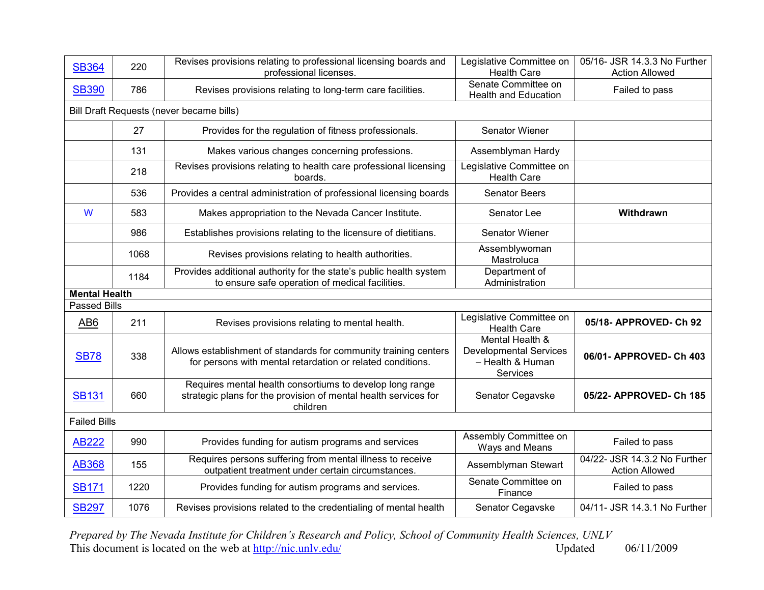| <b>SB364</b>                                | 220                                      | Revises provisions relating to professional licensing boards and<br>professional licenses.                                              | Legislative Committee on<br><b>Health Care</b>                                   | 05/16- JSR 14.3.3 No Further<br><b>Action Allowed</b> |  |  |  |
|---------------------------------------------|------------------------------------------|-----------------------------------------------------------------------------------------------------------------------------------------|----------------------------------------------------------------------------------|-------------------------------------------------------|--|--|--|
| <b>SB390</b>                                | 786                                      | Revises provisions relating to long-term care facilities.                                                                               | Senate Committee on<br><b>Health and Education</b>                               | Failed to pass                                        |  |  |  |
|                                             | Bill Draft Requests (never became bills) |                                                                                                                                         |                                                                                  |                                                       |  |  |  |
|                                             | 27                                       | Provides for the regulation of fitness professionals.                                                                                   | Senator Wiener                                                                   |                                                       |  |  |  |
|                                             | 131                                      | Makes various changes concerning professions.                                                                                           | Assemblyman Hardy                                                                |                                                       |  |  |  |
|                                             | 218                                      | Revises provisions relating to health care professional licensing<br>boards.                                                            | Legislative Committee on<br><b>Health Care</b>                                   |                                                       |  |  |  |
|                                             | 536                                      | Provides a central administration of professional licensing boards                                                                      | <b>Senator Beers</b>                                                             |                                                       |  |  |  |
| W                                           | 583                                      | Makes appropriation to the Nevada Cancer Institute.                                                                                     | Senator Lee                                                                      | Withdrawn                                             |  |  |  |
|                                             | 986                                      | Establishes provisions relating to the licensure of dietitians.                                                                         | Senator Wiener                                                                   |                                                       |  |  |  |
|                                             | 1068                                     | Revises provisions relating to health authorities.                                                                                      | Assemblywoman<br>Mastroluca                                                      |                                                       |  |  |  |
|                                             | 1184                                     | Provides additional authority for the state's public health system<br>to ensure safe operation of medical facilities.                   | Department of<br>Administration                                                  |                                                       |  |  |  |
| <b>Mental Health</b><br><b>Passed Bills</b> |                                          |                                                                                                                                         |                                                                                  |                                                       |  |  |  |
|                                             |                                          |                                                                                                                                         | Legislative Committee on                                                         |                                                       |  |  |  |
| AB <sub>6</sub>                             | 211                                      | Revises provisions relating to mental health.                                                                                           | <b>Health Care</b>                                                               | 05/18- APPROVED- Ch 92                                |  |  |  |
| <b>SB78</b>                                 | 338                                      | Allows establishment of standards for community training centers<br>for persons with mental retardation or related conditions.          | Mental Health &<br><b>Developmental Services</b><br>- Health & Human<br>Services | 06/01- APPROVED- Ch 403                               |  |  |  |
| <b>SB131</b>                                | 660                                      | Requires mental health consortiums to develop long range<br>strategic plans for the provision of mental health services for<br>children | Senator Cegavske                                                                 | 05/22- APPROVED- Ch 185                               |  |  |  |
| <b>Failed Bills</b>                         |                                          |                                                                                                                                         |                                                                                  |                                                       |  |  |  |
| <b>AB222</b>                                | 990                                      | Provides funding for autism programs and services                                                                                       | Assembly Committee on<br>Ways and Means                                          | Failed to pass                                        |  |  |  |
| <b>AB368</b>                                | 155                                      | Requires persons suffering from mental illness to receive<br>outpatient treatment under certain circumstances.                          | Assemblyman Stewart                                                              | 04/22- JSR 14.3.2 No Further<br><b>Action Allowed</b> |  |  |  |
| <b>SB171</b>                                | 1220                                     | Provides funding for autism programs and services.                                                                                      | Senate Committee on<br>Finance                                                   | Failed to pass                                        |  |  |  |
| <b>SB297</b>                                | 1076                                     | Revises provisions related to the credentialing of mental health                                                                        | Senator Cegavske                                                                 | 04/11- JSR 14.3.1 No Further                          |  |  |  |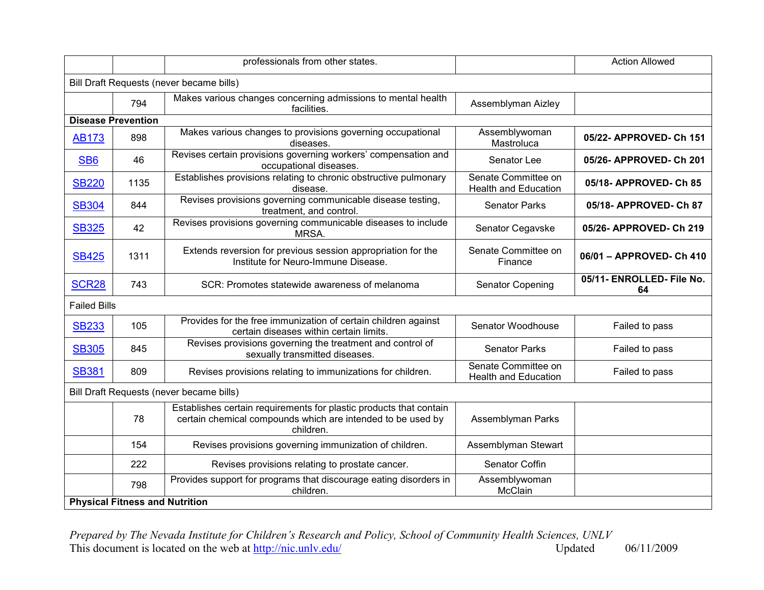|                     |                                       | professionals from other states.                                                                                                               |                                                    | <b>Action Allowed</b>           |
|---------------------|---------------------------------------|------------------------------------------------------------------------------------------------------------------------------------------------|----------------------------------------------------|---------------------------------|
|                     |                                       | Bill Draft Requests (never became bills)                                                                                                       |                                                    |                                 |
|                     | 794                                   | Makes various changes concerning admissions to mental health<br>facilities.                                                                    | Assemblyman Aizley                                 |                                 |
|                     | <b>Disease Prevention</b>             |                                                                                                                                                |                                                    |                                 |
| <b>AB173</b>        | 898                                   | Makes various changes to provisions governing occupational<br>diseases.                                                                        | Assemblywoman<br>Mastroluca                        | 05/22- APPROVED- Ch 151         |
| SB <sub>6</sub>     | 46                                    | Revises certain provisions governing workers' compensation and<br>occupational diseases.                                                       | Senator Lee                                        | 05/26- APPROVED- Ch 201         |
| <b>SB220</b>        | 1135                                  | Establishes provisions relating to chronic obstructive pulmonary<br>disease.                                                                   | Senate Committee on<br><b>Health and Education</b> | 05/18- APPROVED- Ch 85          |
| <b>SB304</b>        | 844                                   | Revises provisions governing communicable disease testing,<br>treatment, and control.                                                          | <b>Senator Parks</b>                               | 05/18- APPROVED- Ch 87          |
| <b>SB325</b>        | 42                                    | Revises provisions governing communicable diseases to include<br>MRSA.                                                                         | Senator Cegavske                                   | 05/26- APPROVED- Ch 219         |
| <b>SB425</b>        | 1311                                  | Extends reversion for previous session appropriation for the<br>Institute for Neuro-Immune Disease.                                            | Senate Committee on<br>Finance                     | 06/01 - APPROVED- Ch 410        |
| <b>SCR28</b>        | 743                                   | SCR: Promotes statewide awareness of melanoma                                                                                                  | Senator Copening                                   | 05/11- ENROLLED- File No.<br>64 |
| <b>Failed Bills</b> |                                       |                                                                                                                                                |                                                    |                                 |
| <b>SB233</b>        | 105                                   | Provides for the free immunization of certain children against<br>certain diseases within certain limits.                                      | Senator Woodhouse                                  | Failed to pass                  |
| <b>SB305</b>        | 845                                   | Revises provisions governing the treatment and control of<br>sexually transmitted diseases.                                                    | <b>Senator Parks</b>                               | Failed to pass                  |
| <b>SB381</b>        | 809                                   | Revises provisions relating to immunizations for children.                                                                                     | Senate Committee on<br><b>Health and Education</b> | Failed to pass                  |
|                     |                                       | Bill Draft Requests (never became bills)                                                                                                       |                                                    |                                 |
|                     | 78                                    | Establishes certain requirements for plastic products that contain<br>certain chemical compounds which are intended to be used by<br>children. | Assemblyman Parks                                  |                                 |
|                     | 154                                   | Revises provisions governing immunization of children.                                                                                         | Assemblyman Stewart                                |                                 |
|                     | 222                                   | Revises provisions relating to prostate cancer.                                                                                                | Senator Coffin                                     |                                 |
|                     | 798                                   | Provides support for programs that discourage eating disorders in<br>children.                                                                 | Assemblywoman<br>McClain                           |                                 |
|                     | <b>Physical Fitness and Nutrition</b> |                                                                                                                                                |                                                    |                                 |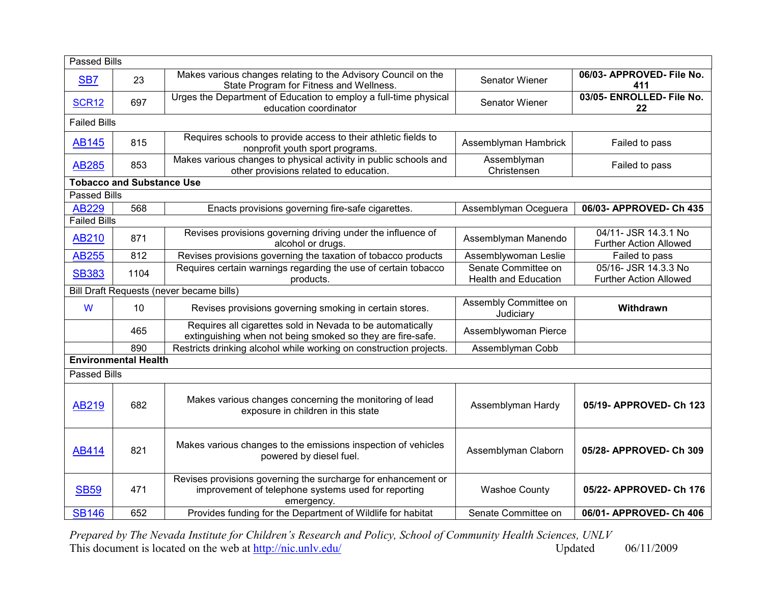|                     | <b>Passed Bills</b>              |                                                                                                                                    |                                                    |                                                       |  |
|---------------------|----------------------------------|------------------------------------------------------------------------------------------------------------------------------------|----------------------------------------------------|-------------------------------------------------------|--|
| SB <sub>7</sub>     | 23                               | Makes various changes relating to the Advisory Council on the<br>State Program for Fitness and Wellness.                           | Senator Wiener                                     | 06/03- APPROVED- File No.<br>411                      |  |
| <b>SCR12</b>        | 697                              | Urges the Department of Education to employ a full-time physical<br>education coordinator                                          | Senator Wiener                                     | 03/05- ENROLLED- File No.<br>22                       |  |
|                     | <b>Failed Bills</b>              |                                                                                                                                    |                                                    |                                                       |  |
| <b>AB145</b>        | 815                              | Requires schools to provide access to their athletic fields to<br>nonprofit youth sport programs.                                  | Assemblyman Hambrick                               | Failed to pass                                        |  |
| <b>AB285</b>        | 853                              | Makes various changes to physical activity in public schools and<br>other provisions related to education.                         | Assemblyman<br>Christensen                         | Failed to pass                                        |  |
|                     | <b>Tobacco and Substance Use</b> |                                                                                                                                    |                                                    |                                                       |  |
| <b>Passed Bills</b> |                                  |                                                                                                                                    |                                                    |                                                       |  |
| <b>AB229</b>        | 568                              | Enacts provisions governing fire-safe cigarettes.                                                                                  | Assemblyman Oceguera                               | 06/03- APPROVED- Ch 435                               |  |
| <b>Failed Bills</b> |                                  |                                                                                                                                    |                                                    |                                                       |  |
| <b>AB210</b>        | 871                              | Revises provisions governing driving under the influence of<br>alcohol or drugs.                                                   | Assemblyman Manendo                                | 04/11- JSR 14.3.1 No<br><b>Further Action Allowed</b> |  |
| <b>AB255</b>        | 812                              | Revises provisions governing the taxation of tobacco products                                                                      | Assemblywoman Leslie                               | Failed to pass                                        |  |
| <b>SB383</b>        | 1104                             | Requires certain warnings regarding the use of certain tobacco<br>products.                                                        | Senate Committee on<br><b>Health and Education</b> | 05/16- JSR 14.3.3 No<br><b>Further Action Allowed</b> |  |
|                     |                                  | Bill Draft Requests (never became bills)                                                                                           |                                                    |                                                       |  |
| W                   | 10                               | Revises provisions governing smoking in certain stores.                                                                            | Assembly Committee on<br>Judiciary                 | Withdrawn                                             |  |
|                     | 465                              | Requires all cigarettes sold in Nevada to be automatically<br>extinguishing when not being smoked so they are fire-safe.           | Assemblywoman Pierce                               |                                                       |  |
|                     | 890                              | Restricts drinking alcohol while working on construction projects.                                                                 | Assemblyman Cobb                                   |                                                       |  |
|                     | <b>Environmental Health</b>      |                                                                                                                                    |                                                    |                                                       |  |
| <b>Passed Bills</b> |                                  |                                                                                                                                    |                                                    |                                                       |  |
| <b>AB219</b>        | 682                              | Makes various changes concerning the monitoring of lead<br>exposure in children in this state                                      | Assemblyman Hardy                                  | 05/19- APPROVED- Ch 123                               |  |
| <b>AB414</b>        | 821                              | Makes various changes to the emissions inspection of vehicles<br>powered by diesel fuel.                                           | Assemblyman Claborn                                | 05/28- APPROVED- Ch 309                               |  |
| <b>SB59</b>         | 471                              | Revises provisions governing the surcharge for enhancement or<br>improvement of telephone systems used for reporting<br>emergency. | <b>Washoe County</b>                               | 05/22- APPROVED- Ch 176                               |  |
| <b>SB146</b>        | 652                              | Provides funding for the Department of Wildlife for habitat                                                                        | Senate Committee on                                | 06/01- APPROVED- Ch 406                               |  |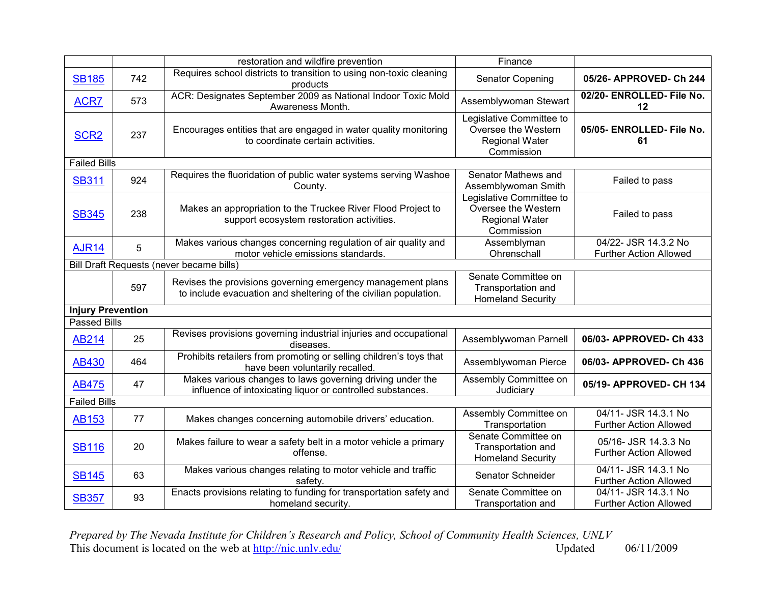|                          |     | restoration and wildfire prevention                                                                                             | Finance                                                                                |                                                       |
|--------------------------|-----|---------------------------------------------------------------------------------------------------------------------------------|----------------------------------------------------------------------------------------|-------------------------------------------------------|
| <b>SB185</b>             | 742 | Requires school districts to transition to using non-toxic cleaning<br>products                                                 | <b>Senator Copening</b>                                                                | 05/26- APPROVED- Ch 244                               |
| ACR7                     | 573 | ACR: Designates September 2009 as National Indoor Toxic Mold<br>Awareness Month.                                                | Assemblywoman Stewart                                                                  | 02/20- ENROLLED- File No.<br>12                       |
| SCR <sub>2</sub>         | 237 | Encourages entities that are engaged in water quality monitoring<br>to coordinate certain activities.                           | Legislative Committee to<br>Oversee the Western<br><b>Regional Water</b><br>Commission | 05/05- ENROLLED- File No.<br>61                       |
| <b>Failed Bills</b>      |     |                                                                                                                                 |                                                                                        |                                                       |
| <b>SB311</b>             | 924 | Requires the fluoridation of public water systems serving Washoe<br>County.                                                     | Senator Mathews and<br>Assemblywoman Smith                                             | Failed to pass                                        |
| <b>SB345</b>             | 238 | Makes an appropriation to the Truckee River Flood Project to<br>support ecosystem restoration activities.                       | Legislative Committee to<br>Oversee the Western<br><b>Regional Water</b><br>Commission | Failed to pass                                        |
| <b>AJR14</b>             | 5   | Makes various changes concerning regulation of air quality and<br>motor vehicle emissions standards.                            | Assemblyman<br>Ohrenschall                                                             | 04/22- JSR 14.3.2 No<br><b>Further Action Allowed</b> |
|                          |     | Bill Draft Requests (never became bills)                                                                                        |                                                                                        |                                                       |
|                          | 597 | Revises the provisions governing emergency management plans<br>to include evacuation and sheltering of the civilian population. | Senate Committee on<br>Transportation and<br><b>Homeland Security</b>                  |                                                       |
| <b>Injury Prevention</b> |     |                                                                                                                                 |                                                                                        |                                                       |
| <b>Passed Bills</b>      |     |                                                                                                                                 |                                                                                        |                                                       |
| <b>AB214</b>             | 25  | Revises provisions governing industrial injuries and occupational<br>diseases.                                                  | Assemblywoman Parnell                                                                  | 06/03- APPROVED- Ch 433                               |
| <b>AB430</b>             | 464 | Prohibits retailers from promoting or selling children's toys that<br>have been voluntarily recalled.                           | Assemblywoman Pierce                                                                   | 06/03- APPROVED- Ch 436                               |
| <b>AB475</b>             | 47  | Makes various changes to laws governing driving under the<br>influence of intoxicating liquor or controlled substances.         | Assembly Committee on<br>Judiciary                                                     | 05/19- APPROVED- CH 134                               |
| <b>Failed Bills</b>      |     |                                                                                                                                 |                                                                                        |                                                       |
| <b>AB153</b>             | 77  | Makes changes concerning automobile drivers' education.                                                                         | Assembly Committee on<br>Transportation                                                | 04/11- JSR 14.3.1 No<br><b>Further Action Allowed</b> |
| <b>SB116</b>             | 20  | Makes failure to wear a safety belt in a motor vehicle a primary<br>offense.                                                    | Senate Committee on<br>Transportation and<br><b>Homeland Security</b>                  | 05/16- JSR 14.3.3 No<br><b>Further Action Allowed</b> |
| <b>SB145</b>             | 63  | Makes various changes relating to motor vehicle and traffic<br>safety.                                                          | Senator Schneider                                                                      | 04/11- JSR 14.3.1 No<br><b>Further Action Allowed</b> |
| <b>SB357</b>             | 93  | Enacts provisions relating to funding for transportation safety and<br>homeland security.                                       | Senate Committee on<br>Transportation and                                              | 04/11- JSR 14.3.1 No<br><b>Further Action Allowed</b> |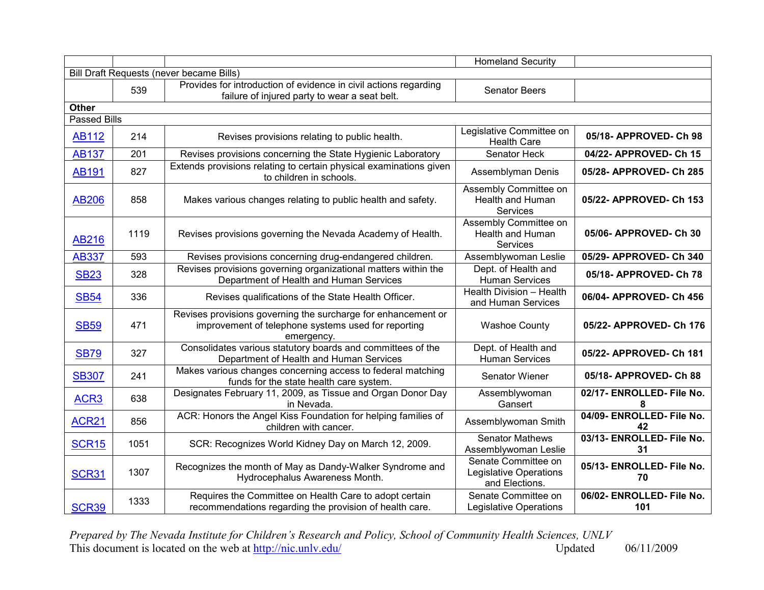|                     |      |                                                                                                                                    | <b>Homeland Security</b>                                               |                                  |
|---------------------|------|------------------------------------------------------------------------------------------------------------------------------------|------------------------------------------------------------------------|----------------------------------|
|                     |      | Bill Draft Requests (never became Bills)                                                                                           |                                                                        |                                  |
|                     | 539  | Provides for introduction of evidence in civil actions regarding<br>failure of injured party to wear a seat belt.                  | <b>Senator Beers</b>                                                   |                                  |
| <b>Other</b>        |      |                                                                                                                                    |                                                                        |                                  |
| <b>Passed Bills</b> |      |                                                                                                                                    |                                                                        |                                  |
| <b>AB112</b>        | 214  | Revises provisions relating to public health.                                                                                      | Legislative Committee on<br><b>Health Care</b>                         | 05/18- APPROVED- Ch 98           |
| <b>AB137</b>        | 201  | Revises provisions concerning the State Hygienic Laboratory                                                                        | Senator Heck                                                           | 04/22- APPROVED- Ch 15           |
| AB191               | 827  | Extends provisions relating to certain physical examinations given<br>to children in schools.                                      | Assemblyman Denis                                                      | 05/28- APPROVED- Ch 285          |
| <b>AB206</b>        | 858  | Makes various changes relating to public health and safety.                                                                        | Assembly Committee on<br>Health and Human<br>Services                  | 05/22- APPROVED- Ch 153          |
| <b>AB216</b>        | 1119 | Revises provisions governing the Nevada Academy of Health.                                                                         | Assembly Committee on<br>Health and Human<br><b>Services</b>           | 05/06- APPROVED- Ch 30           |
| <b>AB337</b>        | 593  | Revises provisions concerning drug-endangered children.                                                                            | Assemblywoman Leslie                                                   | 05/29- APPROVED- Ch 340          |
| <b>SB23</b>         | 328  | Revises provisions governing organizational matters within the<br>Department of Health and Human Services                          | Dept. of Health and<br><b>Human Services</b>                           | 05/18- APPROVED- Ch 78           |
| <b>SB54</b>         | 336  | Revises qualifications of the State Health Officer.                                                                                | Health Division - Health<br>and Human Services                         | 06/04- APPROVED- Ch 456          |
| <b>SB59</b>         | 471  | Revises provisions governing the surcharge for enhancement or<br>improvement of telephone systems used for reporting<br>emergency. | <b>Washoe County</b>                                                   | 05/22- APPROVED- Ch 176          |
| <b>SB79</b>         | 327  | Consolidates various statutory boards and committees of the<br>Department of Health and Human Services                             | Dept. of Health and<br><b>Human Services</b>                           | 05/22- APPROVED- Ch 181          |
| <b>SB307</b>        | 241  | Makes various changes concerning access to federal matching<br>funds for the state health care system.                             | Senator Wiener                                                         | 05/18- APPROVED- Ch 88           |
| ACR <sub>3</sub>    | 638  | Designates February 11, 2009, as Tissue and Organ Donor Day<br>in Nevada.                                                          | Assemblywoman<br>Gansert                                               | 02/17- ENROLLED- File No.<br>8   |
| <b>ACR21</b>        | 856  | ACR: Honors the Angel Kiss Foundation for helping families of<br>children with cancer.                                             | Assemblywoman Smith                                                    | 04/09- ENROLLED- File No.<br>42  |
| <b>SCR15</b>        | 1051 | SCR: Recognizes World Kidney Day on March 12, 2009.                                                                                | <b>Senator Mathews</b><br>Assemblywoman Leslie                         | 03/13- ENROLLED- File No.<br>31  |
| <b>SCR31</b>        | 1307 | Recognizes the month of May as Dandy-Walker Syndrome and<br>Hydrocephalus Awareness Month.                                         | Senate Committee on<br><b>Legislative Operations</b><br>and Elections. | 05/13- ENROLLED- File No.<br>70  |
| <b>SCR39</b>        | 1333 | Requires the Committee on Health Care to adopt certain<br>recommendations regarding the provision of health care.                  | Senate Committee on<br>Legislative Operations                          | 06/02- ENROLLED- File No.<br>101 |